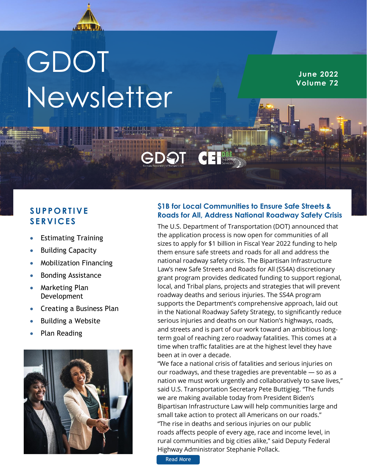

# GDOT Newsletter

**June 2022 Volume 72**

## **S U P P O R T I V E S E R V I C E S**

- Estimating Training
- **Building Capacity**
- Mobilization Financing
- Bonding Assistance
- Marketing Plan Development
- Creating a Business Plan
- Building a Website
- Plan Reading



### **\$1B for Local Communities to Ensure Safe Streets & Roads for All, Address National Roadway Safety Crisis**

The U.S. Department of Transportation (DOT) announced that the application process is now open for communities of all sizes to apply for \$1 billion in Fiscal Year 2022 funding to help them ensure safe streets and roads for all and address the national roadway safety crisis. The Bipartisan Infrastructure Law's new Safe Streets and Roads for All (SS4A) discretionary grant program provides dedicated funding to support regional, local, and Tribal plans, projects and strategies that will prevent roadway deaths and serious injuries. The SS4A program supports the Department's comprehensive approach, laid out in the National Roadway Safety Strategy, to significantly reduce serious injuries and deaths on our Nation's highways, roads, and streets and is part of our work toward an ambitious longterm goal of reaching zero roadway fatalities. This comes at a time when traffic fatalities are at the highest level they have been at in over a decade.

"We face a national crisis of fatalities and serious injuries on our roadways, and these tragedies are preventable — so as a nation we must work urgently and collaboratively to save lives," said U.S. Transportation Secretary Pete Buttigieg. "The funds we are making available today from President Biden's Bipartisan Infrastructure Law will help communities large and small take action to protect all Americans on our roads." "The rise in deaths and serious injuries on our public roads affects people of every age, race and income level, in rural communities and big cities alike," said Deputy Federal Highway Administrator Stephanie Pollack.

[Read More](https://www.constructionbusinessowner.com/news/president-biden-us-transportation-secretary-pete-buttigieg-announce-availability-1b-local)  [https://www.m](https://www.msn.com/en-us/news/us/how-officials-are-keeping-the-garden-city-clean/ar-AATdxyi?ocid=BingNewsSearch)ail.com/2010/07/2010<br>https://www.mail.com/2010/07/2010